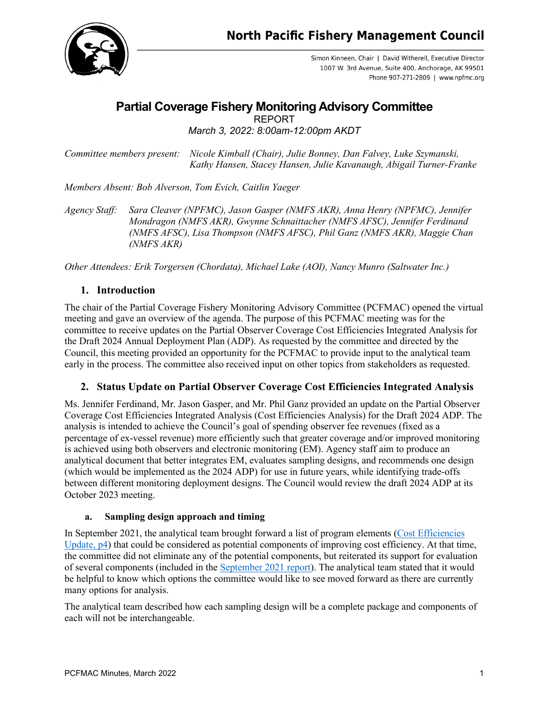

Simon Kinneen, Chair | David Witherell, Executive Director 1007 W. 3rd Avenue, Suite 400, Anchorage, AK 99501 Phone 907-271-2809 | www.npfmc.org

# **Partial Coverage Fishery Monitoring Advisory Committee** REPORT

*March 3, 2022: 8:00am-12:00pm AKDT*

*Committee members present: Nicole Kimball (Chair), Julie Bonney, Dan Falvey, Luke Szymanski, Kathy Hansen, Stacey Hansen, Julie Kavanaugh, Abigail Turner-Franke* 

*Members Absent: Bob Alverson, Tom Evich, Caitlin Yaeger*

*Agency Staff: Sara Cleaver (NPFMC), Jason Gasper (NMFS AKR), Anna Henry (NPFMC), Jennifer Mondragon (NMFS AKR), Gwynne Schnaittacher (NMFS AFSC), Jennifer Ferdinand (NMFS AFSC), Lisa Thompson (NMFS AFSC), Phil Ganz (NMFS AKR), Maggie Chan (NMFS AKR)*

*Other Attendees: Erik Torgersen (Chordata), Michael Lake (AOI), Nancy Munro (Saltwater Inc.)*

## **1. Introduction**

The chair of the Partial Coverage Fishery Monitoring Advisory Committee (PCFMAC) opened the virtual meeting and gave an overview of the agenda. The purpose of this PCFMAC meeting was for the committee to receive updates on the Partial Observer Coverage Cost Efficiencies Integrated Analysis for the Draft 2024 Annual Deployment Plan (ADP). As requested by the committee and directed by the Council, this meeting provided an opportunity for the PCFMAC to provide input to the analytical team early in the process. The committee also received input on other topics from stakeholders as requested.

#### **2. Status Update on Partial Observer Coverage Cost Efficiencies Integrated Analysis**

Ms. Jennifer Ferdinand, Mr. Jason Gasper, and Mr. Phil Ganz provided an update on the Partial Observer Coverage Cost Efficiencies Integrated Analysis (Cost Efficiencies Analysis) for the Draft 2024 ADP. The analysis is intended to achieve the Council's goal of spending observer fee revenues (fixed as a percentage of ex-vessel revenue) more efficiently such that greater coverage and/or improved monitoring is achieved using both observers and electronic monitoring (EM). Agency staff aim to produce an analytical document that better integrates EM, evaluates sampling designs, and recommends one design (which would be implemented as the 2024 ADP) for use in future years, while identifying trade-offs between different monitoring deployment designs. The Council would review the draft 2024 ADP at its October 2023 meeting.

#### **a. Sampling design approach and timing**

In September 2021, the analytical team brought forward a list of program elements [\(Cost Efficiencies](https://meetings.npfmc.org/CommentReview/DownloadFile?p=6c967b47-a1b1-467f-ba58-e854e473351d.pdf&fileName=Partial%20Observer%20Coverage%20Integrated%20Analysis%20Update.pdf)  [Update,](https://meetings.npfmc.org/CommentReview/DownloadFile?p=6c967b47-a1b1-467f-ba58-e854e473351d.pdf&fileName=Partial%20Observer%20Coverage%20Integrated%20Analysis%20Update.pdf) p4) that could be considered as potential components of improving cost efficiency. At that time, the committee did not eliminate any of the potential components, but reiterated its support for evaluation of several components (included in the [September](https://meetings.npfmc.org/CommentReview/DownloadFile?p=8e4bec5d-c9dc-4633-af06-bd7f70720cf8.pdf&fileName=C5%20PCFMAC%20September%202021%20Meeting%20Report.pdf) 2021 report). The analytical team stated that it would be helpful to know which options the committee would like to see moved forward as there are currently many options for analysis.

The analytical team described how each sampling design will be a complete package and components of each will not be interchangeable.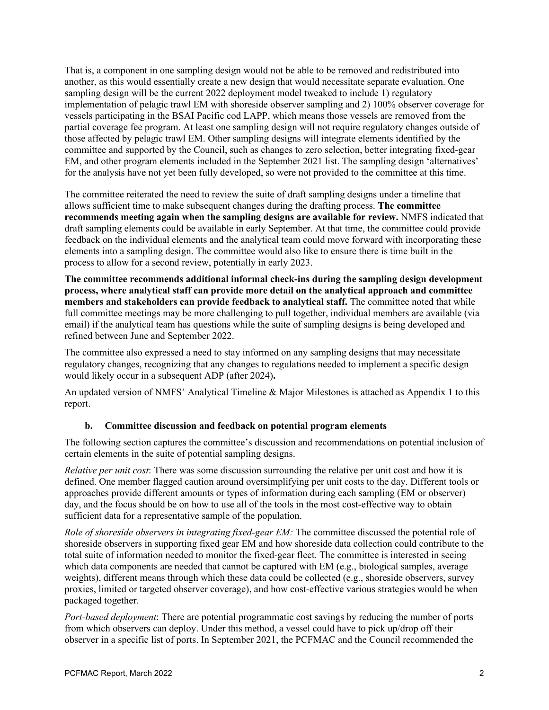That is, a component in one sampling design would not be able to be removed and redistributed into another, as this would essentially create a new design that would necessitate separate evaluation. One sampling design will be the current 2022 deployment model tweaked to include 1) regulatory implementation of pelagic trawl EM with shoreside observer sampling and 2) 100% observer coverage for vessels participating in the BSAI Pacific cod LAPP, which means those vessels are removed from the partial coverage fee program. At least one sampling design will not require regulatory changes outside of those affected by pelagic trawl EM. Other sampling designs will integrate elements identified by the committee and supported by the Council, such as changes to zero selection, better integrating fixed-gear EM, and other program elements included in the September 2021 list. The sampling design 'alternatives' for the analysis have not yet been fully developed, so were not provided to the committee at this time.

The committee reiterated the need to review the suite of draft sampling designs under a timeline that allows sufficient time to make subsequent changes during the drafting process. **The committee recommends meeting again when the sampling designs are available for review.** NMFS indicated that draft sampling elements could be available in early September. At that time, the committee could provide feedback on the individual elements and the analytical team could move forward with incorporating these elements into a sampling design. The committee would also like to ensure there is time built in the process to allow for a second review, potentially in early 2023.

**The committee recommends additional informal check-ins during the sampling design development process, where analytical staff can provide more detail on the analytical approach and committee members and stakeholders can provide feedback to analytical staff.** The committee noted that while full committee meetings may be more challenging to pull together, individual members are available (via email) if the analytical team has questions while the suite of sampling designs is being developed and refined between June and September 2022.

The committee also expressed a need to stay informed on any sampling designs that may necessitate regulatory changes, recognizing that any changes to regulations needed to implement a specific design would likely occur in a subsequent ADP (after 2024)**.** 

An updated version of NMFS' Analytical Timeline & Major Milestones is attached as Appendix 1 to this report.

#### **b. Committee discussion and feedback on potential program elements**

The following section captures the committee's discussion and recommendations on potential inclusion of certain elements in the suite of potential sampling designs.

*Relative per unit cost*: There was some discussion surrounding the relative per unit cost and how it is defined. One member flagged caution around oversimplifying per unit costs to the day. Different tools or approaches provide different amounts or types of information during each sampling (EM or observer) day, and the focus should be on how to use all of the tools in the most cost-effective way to obtain sufficient data for a representative sample of the population.

*Role of shoreside observers in integrating fixed-gear EM:* The committee discussed the potential role of shoreside observers in supporting fixed gear EM and how shoreside data collection could contribute to the total suite of information needed to monitor the fixed-gear fleet. The committee is interested in seeing which data components are needed that cannot be captured with EM (e.g., biological samples, average weights), different means through which these data could be collected (e.g., shoreside observers, survey proxies, limited or targeted observer coverage), and how cost-effective various strategies would be when packaged together.

*Port-based deployment*: There are potential programmatic cost savings by reducing the number of ports from which observers can deploy. Under this method, a vessel could have to pick up/drop off their observer in a specific list of ports. In September 2021, the PCFMAC and the Council recommended the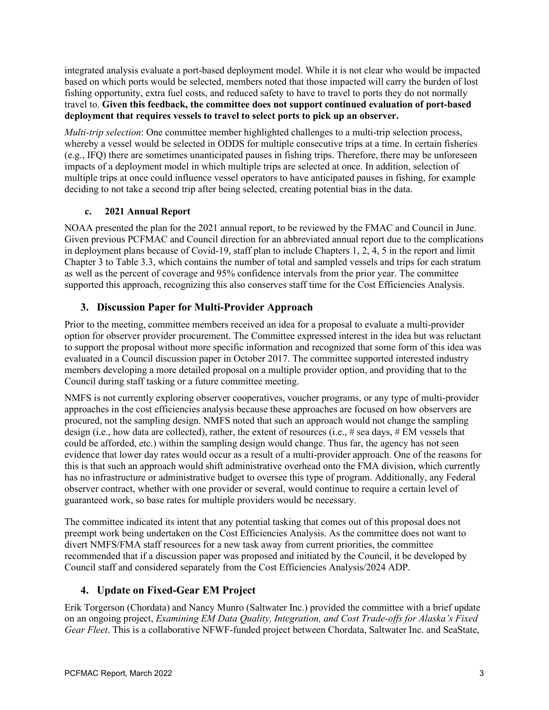integrated analysis evaluate a port-based deployment model. While it is not clear who would be impacted based on which ports would be selected, members noted that those impacted will carry the burden of lost fishing opportunity, extra fuel costs, and reduced safety to have to travel to ports they do not normally travel to. **Given this feedback, the committee does not support continued evaluation of port-based deployment that requires vessels to travel to select ports to pick up an observer.**

*Multi-trip selection*: One committee member highlighted challenges to a multi-trip selection process, whereby a vessel would be selected in ODDS for multiple consecutive trips at a time. In certain fisheries (e.g., IFQ) there are sometimes unanticipated pauses in fishing trips. Therefore, there may be unforeseen impacts of a deployment model in which multiple trips are selected at once. In addition, selection of multiple trips at once could influence vessel operators to have anticipated pauses in fishing, for example deciding to not take a second trip after being selected, creating potential bias in the data.

#### **c. 2021 Annual Report**

NOAA presented the plan for the 2021 annual report, to be reviewed by the FMAC and Council in June. Given previous PCFMAC and Council direction for an abbreviated annual report due to the complications in deployment plans because of Covid-19, staff plan to include Chapters 1, 2, 4, 5 in the report and limit Chapter 3 to Table 3.3, which contains the number of total and sampled vessels and trips for each stratum as well as the percent of coverage and 95% confidence intervals from the prior year. The committee supported this approach, recognizing this also conserves staff time for the Cost Efficiencies Analysis.

## **3. Discussion Paper for Multi-Provider Approach**

Prior to the meeting, committee members received an idea for a proposal to evaluate a multi-provider option for observer provider procurement. The Committee expressed interest in the idea but was reluctant to support the proposal without more specific information and recognized that some form of this idea was evaluated in a Council discussion paper in October 2017. The committee supported interested industry members developing a more detailed proposal on a multiple provider option, and providing that to the Council during staff tasking or a future committee meeting.

NMFS is not currently exploring observer cooperatives, voucher programs, or any type of multi-provider approaches in the cost efficiencies analysis because these approaches are focused on how observers are procured, not the sampling design. NMFS noted that such an approach would not change the sampling design (i.e., how data are collected), rather, the extent of resources (i.e., # sea days, # EM vessels that could be afforded, etc.) within the sampling design would change. Thus far, the agency has not seen evidence that lower day rates would occur as a result of a multi-provider approach. One of the reasons for this is that such an approach would shift administrative overhead onto the FMA division, which currently has no infrastructure or administrative budget to oversee this type of program. Additionally, any Federal observer contract, whether with one provider or several, would continue to require a certain level of guaranteed work, so base rates for multiple providers would be necessary.

The committee indicated its intent that any potential tasking that comes out of this proposal does not preempt work being undertaken on the Cost Efficiencies Analysis. As the committee does not want to divert NMFS/FMA staff resources for a new task away from current priorities, the committee recommended that if a discussion paper was proposed and initiated by the Council, it be developed by Council staff and considered separately from the Cost Efficiencies Analysis/2024 ADP.

## **4. Update on Fixed-Gear EM Project**

Erik Torgerson (Chordata) and Nancy Munro (Saltwater Inc.) provided the committee with a brief update on an ongoing project, *Examining EM Data Quality, Integration, and Cost Trade-offs for Alaska's Fixed Gear Fleet*. This is a collaborative NFWF-funded project between Chordata, Saltwater Inc. and SeaState,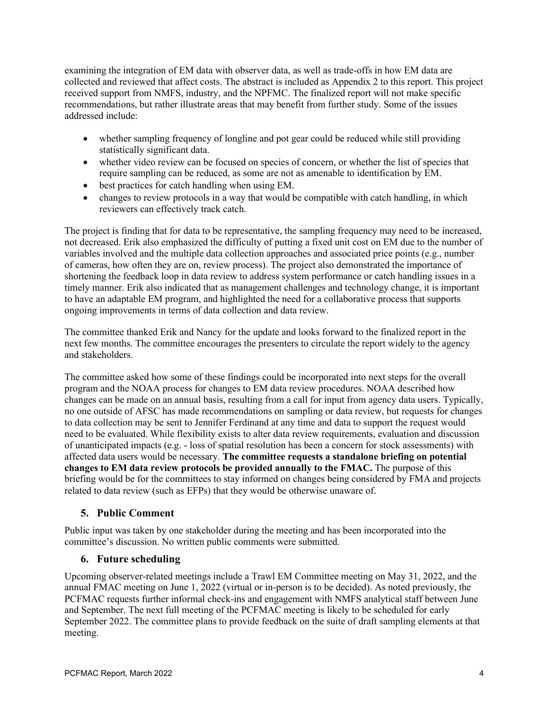examining the integration of EM data with observer data, as well as trade-offs in how EM data are collected and reviewed that affect costs. The abstract is included as Appendix 2 to this report. This project received support from NMFS, industry, and the NPFMC. The finalized report will not make specific recommendations, but rather illustrate areas that may benefit from further study. Some of the issues addressed include:

- whether sampling frequency of longline and pot gear could be reduced while still providing statistically significant data.
- whether video review can be focused on species of concern, or whether the list of species that require sampling can be reduced, as some are not as amenable to identification by EM.
- best practices for catch handling when using EM.
- changes to review protocols in a way that would be compatible with catch handling, in which reviewers can effectively track catch.

The project is finding that for data to be representative, the sampling frequency may need to be increased, not decreased. Erik also emphasized the difficulty of putting a fixed unit cost on EM due to the number of variables involved and the multiple data collection approaches and associated price points (e.g., number of cameras, how often they are on, review process). The project also demonstrated the importance of shortening the feedback loop in data review to address system performance or catch handling issues in a timely manner. Erik also indicated that as management challenges and technology change, it is important to have an adaptable EM program, and highlighted the need for a collaborative process that supports ongoing improvements in terms of data collection and data review.

The committee thanked Erik and Nancy for the update and looks forward to the finalized report in the next few months. The committee encourages the presenters to circulate the report widely to the agency and stakeholders.

The committee asked how some of these findings could be incorporated into next steps for the overall program and the NOAA process for changes to EM data review procedures. NOAA described how changes can be made on an annual basis, resulting from a call for input from agency data users. Typically, no one outside of AFSC has made recommendations on sampling or data review, but requests for changes to data collection may be sent to Jennifer Ferdinand at any time and data to support the request would need to be evaluated. While flexibility exists to alter data review requirements, evaluation and discussion of unanticipated impacts (e.g. - loss of spatial resolution has been a concern for stock assessments) with affected data users would be necessary. **The committee requests a standalone briefing on potential changes to EM data review protocols be provided annually to the FMAC.** The purpose of this briefing would be for the committees to stay informed on changes being considered by FMA and projects related to data review (such as EFPs) that they would be otherwise unaware of.

## **5. Public Comment**

Public input was taken by one stakeholder during the meeting and has been incorporated into the committee's discussion. No written public comments were submitted.

## **6. Future scheduling**

Upcoming observer-related meetings include a Trawl EM Committee meeting on May 31, 2022, and the annual FMAC meeting on June 1, 2022 (virtual or in-person is to be decided). As noted previously, the PCFMAC requests further informal check-ins and engagement with NMFS analytical staff between June and September. The next full meeting of the PCFMAC meeting is likely to be scheduled for early September 2022. The committee plans to provide feedback on the suite of draft sampling elements at that meeting.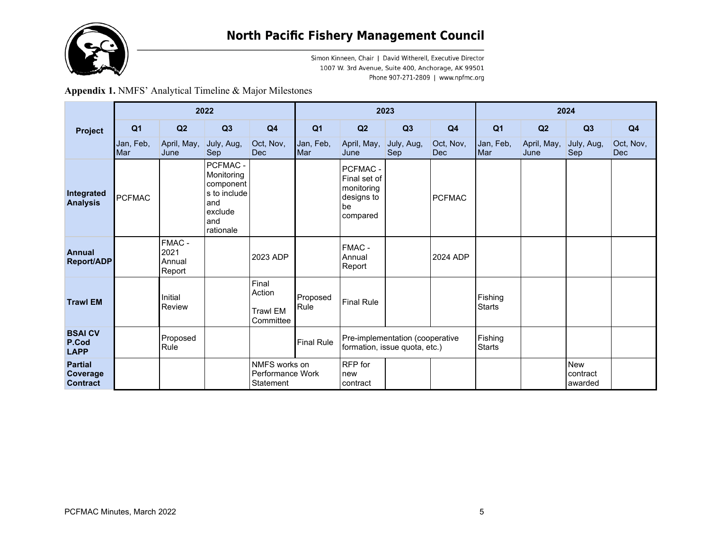

Simon Kinneen, Chair | David Witherell, Executive Director 1007 W. 3rd Avenue, Suite 400, Anchorage, AK 99501 Phone 907-271-2809 | www.npfmc.org

**Appendix 1.** NMFS' Analytical Timeline & Major Milestones

| Project                                       | 2022             |                                    |                                                                                           |                                                 | 2023              |                                                                        |                   |                         | 2024                     |                     |                                   |                         |
|-----------------------------------------------|------------------|------------------------------------|-------------------------------------------------------------------------------------------|-------------------------------------------------|-------------------|------------------------------------------------------------------------|-------------------|-------------------------|--------------------------|---------------------|-----------------------------------|-------------------------|
|                                               | Q <sub>1</sub>   | Q2                                 | Q3                                                                                        | Q <sub>4</sub>                                  | Q <sub>1</sub>    | Q2                                                                     | Q3                | Q4                      | Q <sub>1</sub>           | Q2                  | Q3                                | Q4                      |
|                                               | Jan, Feb,<br>Mar | April, May,<br>June                | July, Aug,<br>Sep                                                                         | Oct, Nov,<br><b>Dec</b>                         | Jan, Feb,<br>Mar  | April, May,<br>June                                                    | July, Aug,<br>Sep | Oct, Nov,<br><b>Dec</b> | Jan, Feb,<br>Mar         | April, May,<br>June | July, Aug,<br>Sep                 | Oct, Nov,<br><b>Dec</b> |
| Integrated<br><b>Analysis</b>                 | <b>PCFMAC</b>    |                                    | PCFMAC -<br>Monitoring<br>component<br>s to include<br>and<br>exclude<br>and<br>rationale |                                                 |                   | PCFMAC -<br>Final set of<br>monitoring<br>designs to<br>be<br>compared |                   | <b>PCFMAC</b>           |                          |                     |                                   |                         |
| <b>Annual</b><br><b>Report/ADP</b>            |                  | FMAC -<br>2021<br>Annual<br>Report |                                                                                           | 2023 ADP                                        |                   | FMAC -<br>Annual<br>Report                                             |                   | 2024 ADP                |                          |                     |                                   |                         |
| <b>Trawl EM</b>                               |                  | Initial<br>Review                  |                                                                                           | Final<br>Action<br><b>Trawl EM</b><br>Committee | Proposed<br>Rule  | Final Rule                                                             |                   |                         | Fishing<br><b>Starts</b> |                     |                                   |                         |
| <b>BSAICV</b><br>P.Cod<br><b>LAPP</b>         |                  | Proposed<br>Rule                   |                                                                                           |                                                 | <b>Final Rule</b> | Pre-implementation (cooperative<br>formation, issue quota, etc.)       |                   |                         | Fishing<br><b>Starts</b> |                     |                                   |                         |
| <b>Partial</b><br>Coverage<br><b>Contract</b> |                  |                                    |                                                                                           | NMFS works on<br>Performance Work<br>Statement  |                   | RFP for<br>new<br>contract                                             |                   |                         |                          |                     | <b>New</b><br>contract<br>awarded |                         |